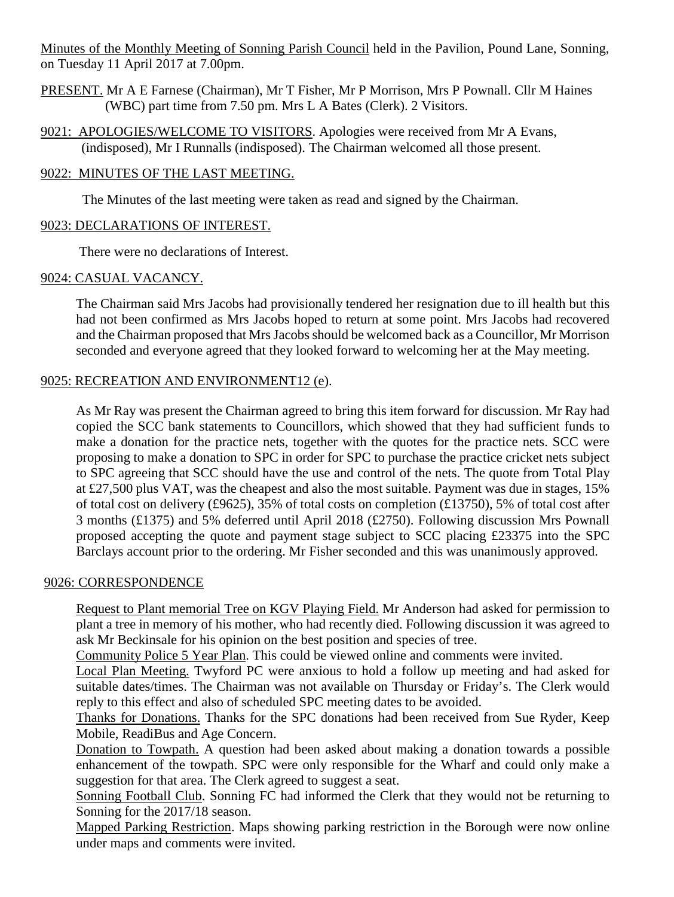Minutes of the Monthly Meeting of Sonning Parish Council held in the Pavilion, Pound Lane, Sonning, on Tuesday 11 April 2017 at 7.00pm.

- PRESENT. Mr A E Farnese (Chairman), Mr T Fisher, Mr P Morrison, Mrs P Pownall. Cllr M Haines (WBC) part time from 7.50 pm. Mrs L A Bates (Clerk). 2 Visitors.
- 9021: APOLOGIES/WELCOME TO VISITORS. Apologies were received from Mr A Evans, (indisposed), Mr I Runnalls (indisposed). The Chairman welcomed all those present.

# 9022: MINUTES OF THE LAST MEETING.

The Minutes of the last meeting were taken as read and signed by the Chairman.

# 9023: DECLARATIONS OF INTEREST.

There were no declarations of Interest.

# 9024: CASUAL VACANCY.

The Chairman said Mrs Jacobs had provisionally tendered her resignation due to ill health but this had not been confirmed as Mrs Jacobs hoped to return at some point. Mrs Jacobs had recovered and the Chairman proposed that Mrs Jacobs should be welcomed back as a Councillor, Mr Morrison seconded and everyone agreed that they looked forward to welcoming her at the May meeting.

# 9025: RECREATION AND ENVIRONMENT12 (e).

As Mr Ray was present the Chairman agreed to bring this item forward for discussion. Mr Ray had copied the SCC bank statements to Councillors, which showed that they had sufficient funds to make a donation for the practice nets, together with the quotes for the practice nets. SCC were proposing to make a donation to SPC in order for SPC to purchase the practice cricket nets subject to SPC agreeing that SCC should have the use and control of the nets. The quote from Total Play at £27,500 plus VAT, was the cheapest and also the most suitable. Payment was due in stages, 15% of total cost on delivery (£9625), 35% of total costs on completion (£13750), 5% of total cost after 3 months (£1375) and 5% deferred until April 2018 (£2750). Following discussion Mrs Pownall proposed accepting the quote and payment stage subject to SCC placing £23375 into the SPC Barclays account prior to the ordering. Mr Fisher seconded and this was unanimously approved.

### 9026: CORRESPONDENCE

Request to Plant memorial Tree on KGV Playing Field. Mr Anderson had asked for permission to plant a tree in memory of his mother, who had recently died. Following discussion it was agreed to ask Mr Beckinsale for his opinion on the best position and species of tree.

Community Police 5 Year Plan. This could be viewed online and comments were invited.

Local Plan Meeting. Twyford PC were anxious to hold a follow up meeting and had asked for suitable dates/times. The Chairman was not available on Thursday or Friday's. The Clerk would reply to this effect and also of scheduled SPC meeting dates to be avoided.

Thanks for Donations. Thanks for the SPC donations had been received from Sue Ryder, Keep Mobile, ReadiBus and Age Concern.

Donation to Towpath. A question had been asked about making a donation towards a possible enhancement of the towpath. SPC were only responsible for the Wharf and could only make a suggestion for that area. The Clerk agreed to suggest a seat.

Sonning Football Club. Sonning FC had informed the Clerk that they would not be returning to Sonning for the 2017/18 season.

Mapped Parking Restriction. Maps showing parking restriction in the Borough were now online under maps and comments were invited.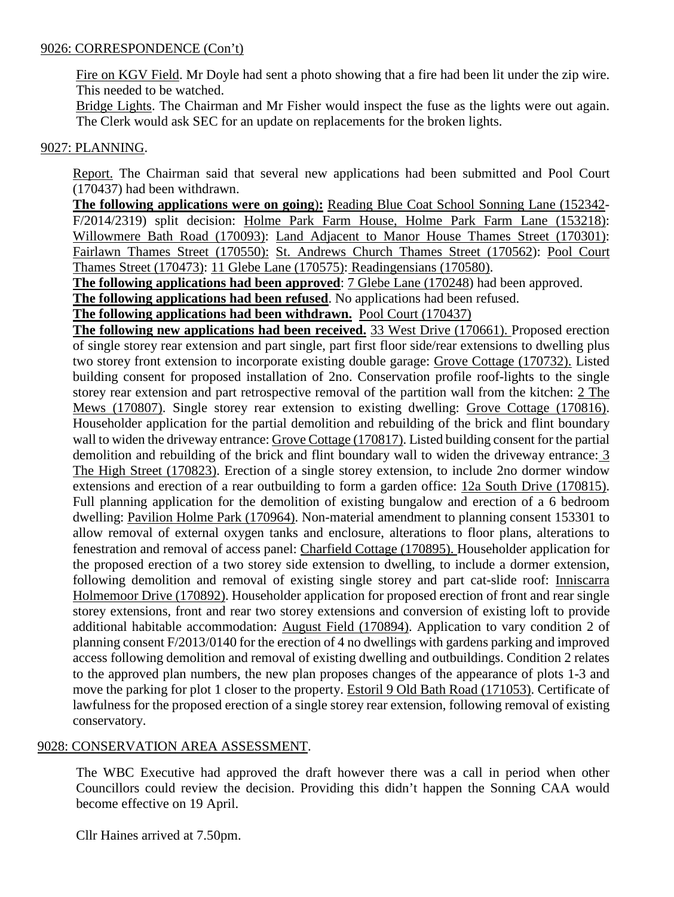## 9026: CORRESPONDENCE (Con't)

Fire on KGV Field. Mr Doyle had sent a photo showing that a fire had been lit under the zip wire. This needed to be watched.

Bridge Lights. The Chairman and Mr Fisher would inspect the fuse as the lights were out again. The Clerk would ask SEC for an update on replacements for the broken lights.

# 9027: PLANNING.

Report. The Chairman said that several new applications had been submitted and Pool Court (170437) had been withdrawn.

**The following applications were on going**)**:** Reading Blue Coat School Sonning Lane (152342- F/2014/2319) split decision: Holme Park Farm House, Holme Park Farm Lane (153218): Willowmere Bath Road (170093): Land Adjacent to Manor House Thames Street (170301): Fairlawn Thames Street (170550): St. Andrews Church Thames Street (170562): Pool Court Thames Street (170473): 11 Glebe Lane (170575): Readingensians (170580).

**The following applications had been approved**: 7 Glebe Lane (170248) had been approved.

**The following applications had been refused**. No applications had been refused.

**The following applications had been withdrawn.** Pool Court (170437)

**The following new applications had been received.** 33 West Drive (170661). Proposed erection of single storey rear extension and part single, part first floor side/rear extensions to dwelling plus two storey front extension to incorporate existing double garage: Grove Cottage (170732). Listed building consent for proposed installation of 2no. Conservation profile roof-lights to the single storey rear extension and part retrospective removal of the partition wall from the kitchen: 2 The Mews (170807). Single storey rear extension to existing dwelling: Grove Cottage (170816). Householder application for the partial demolition and rebuilding of the brick and flint boundary wall to widen the driveway entrance: Grove Cottage (170817). Listed building consent for the partial demolition and rebuilding of the brick and flint boundary wall to widen the driveway entrance: 3 The High Street (170823). Erection of a single storey extension, to include 2no dormer window extensions and erection of a rear outbuilding to form a garden office: 12a South Drive (170815). Full planning application for the demolition of existing bungalow and erection of a 6 bedroom dwelling: Pavilion Holme Park (170964). Non-material amendment to planning consent 153301 to allow removal of external oxygen tanks and enclosure, alterations to floor plans, alterations to fenestration and removal of access panel: Charfield Cottage (170895). Householder application for the proposed erection of a two storey side extension to dwelling, to include a dormer extension, following demolition and removal of existing single storey and part cat-slide roof: Inniscarra Holmemoor Drive (170892). Householder application for proposed erection of front and rear single storey extensions, front and rear two storey extensions and conversion of existing loft to provide additional habitable accommodation: August Field (170894). Application to vary condition 2 of planning consent F/2013/0140 for the erection of 4 no dwellings with gardens parking and improved access following demolition and removal of existing dwelling and outbuildings. Condition 2 relates to the approved plan numbers, the new plan proposes changes of the appearance of plots 1-3 and move the parking for plot 1 closer to the property. Estoril 9 Old Bath Road (171053). Certificate of lawfulness for the proposed erection of a single storey rear extension, following removal of existing conservatory.

# 9028: CONSERVATION AREA ASSESSMENT.

The WBC Executive had approved the draft however there was a call in period when other Councillors could review the decision. Providing this didn't happen the Sonning CAA would become effective on 19 April.

Cllr Haines arrived at 7.50pm.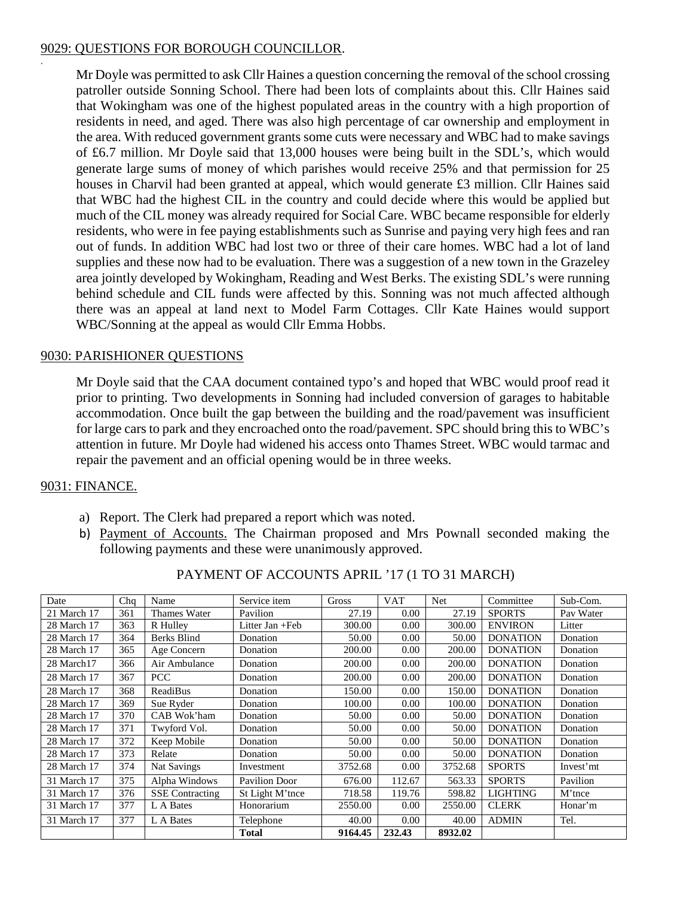## 9029: QUESTIONS FOR BOROUGH COUNCILLOR.

Mr Doyle was permitted to ask Cllr Haines a question concerning the removal of the school crossing patroller outside Sonning School. There had been lots of complaints about this. Cllr Haines said that Wokingham was one of the highest populated areas in the country with a high proportion of residents in need, and aged. There was also high percentage of car ownership and employment in the area. With reduced government grants some cuts were necessary and WBC had to make savings of £6.7 million. Mr Doyle said that 13,000 houses were being built in the SDL's, which would generate large sums of money of which parishes would receive 25% and that permission for 25 houses in Charvil had been granted at appeal, which would generate £3 million. Cllr Haines said that WBC had the highest CIL in the country and could decide where this would be applied but much of the CIL money was already required for Social Care. WBC became responsible for elderly residents, who were in fee paying establishments such as Sunrise and paying very high fees and ran out of funds. In addition WBC had lost two or three of their care homes. WBC had a lot of land supplies and these now had to be evaluation. There was a suggestion of a new town in the Grazeley area jointly developed by Wokingham, Reading and West Berks. The existing SDL's were running behind schedule and CIL funds were affected by this. Sonning was not much affected although there was an appeal at land next to Model Farm Cottages. Cllr Kate Haines would support WBC/Sonning at the appeal as would Cllr Emma Hobbs.

# 9030: PARISHIONER QUESTIONS

Mr Doyle said that the CAA document contained typo's and hoped that WBC would proof read it prior to printing. Two developments in Sonning had included conversion of garages to habitable accommodation. Once built the gap between the building and the road/pavement was insufficient for large cars to park and they encroached onto the road/pavement. SPC should bring this to WBC's attention in future. Mr Doyle had widened his access onto Thames Street. WBC would tarmac and repair the pavement and an official opening would be in three weeks.

### 9031: FINANCE.

.

- a) Report. The Clerk had prepared a report which was noted.
- b) Payment of Accounts. The Chairman proposed and Mrs Pownall seconded making the following payments and these were unanimously approved.

| Date        | Chq | Name                   | Service item         | Gross   | <b>VAT</b> | Net     | Committee       | Sub-Com.  |
|-------------|-----|------------------------|----------------------|---------|------------|---------|-----------------|-----------|
| 21 March 17 | 361 | Thames Water           | Pavilion             | 27.19   | 0.00       | 27.19   | <b>SPORTS</b>   | Pay Water |
| 28 March 17 | 363 | R Hulley               | Litter Jan +Feb      | 300.00  | $0.00\,$   | 300.00  | <b>ENVIRON</b>  | Litter    |
| 28 March 17 | 364 | <b>Berks Blind</b>     | Donation             | 50.00   | 0.00       | 50.00   | <b>DONATION</b> | Donation  |
| 28 March 17 | 365 | Age Concern            | Donation             | 200.00  | 0.00       | 200.00  | <b>DONATION</b> | Donation  |
| 28 March17  | 366 | Air Ambulance          | Donation             | 200.00  | 0.00       | 200.00  | <b>DONATION</b> | Donation  |
| 28 March 17 | 367 | <b>PCC</b>             | Donation             | 200.00  | 0.00       | 200.00  | <b>DONATION</b> | Donation  |
| 28 March 17 | 368 | <b>ReadiBus</b>        | Donation             | 150.00  | 0.00       | 150.00  | <b>DONATION</b> | Donation  |
| 28 March 17 | 369 | Sue Ryder              | Donation             | 100.00  | 0.00       | 100.00  | <b>DONATION</b> | Donation  |
| 28 March 17 | 370 | CAB Wok'ham            | Donation             | 50.00   | 0.00       | 50.00   | <b>DONATION</b> | Donation  |
| 28 March 17 | 371 | Twyford Vol.           | Donation             | 50.00   | 0.00       | 50.00   | <b>DONATION</b> | Donation  |
| 28 March 17 | 372 | Keep Mobile            | Donation             | 50.00   | 0.00       | 50.00   | <b>DONATION</b> | Donation  |
| 28 March 17 | 373 | Relate                 | Donation             | 50.00   | 0.00       | 50.00   | <b>DONATION</b> | Donation  |
| 28 March 17 | 374 | <b>Nat Savings</b>     | Investment           | 3752.68 | 0.00       | 3752.68 | <b>SPORTS</b>   | Invest'mt |
| 31 March 17 | 375 | Alpha Windows          | <b>Pavilion Door</b> | 676.00  | 112.67     | 563.33  | <b>SPORTS</b>   | Pavilion  |
| 31 March 17 | 376 | <b>SSE</b> Contracting | St Light M'tnce      | 718.58  | 119.76     | 598.82  | <b>LIGHTING</b> | M'tnce    |
| 31 March 17 | 377 | L A Bates              | Honorarium           | 2550.00 | 0.00       | 2550.00 | <b>CLERK</b>    | Honar'm   |
| 31 March 17 | 377 | L A Bates              | Telephone            | 40.00   | 0.00       | 40.00   | <b>ADMIN</b>    | Tel.      |
|             |     |                        | <b>Total</b>         | 9164.45 | 232.43     | 8932.02 |                 |           |

### PAYMENT OF ACCOUNTS APRIL '17 (1 TO 31 MARCH)